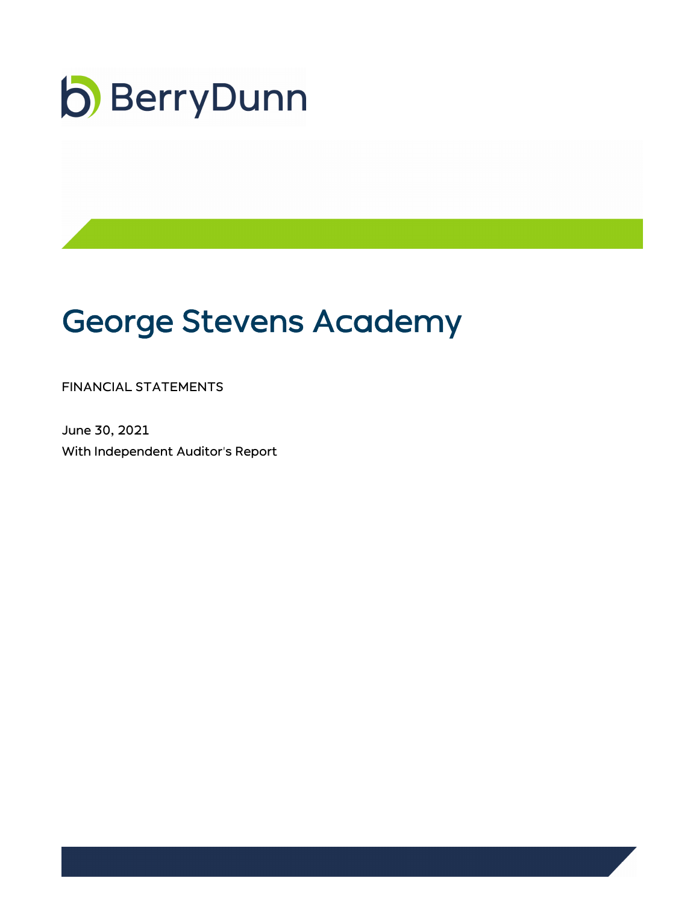

# George Stevens Academy

FINANCIAL STATEMENTS

June 30, 2021 With Independent Auditor's Report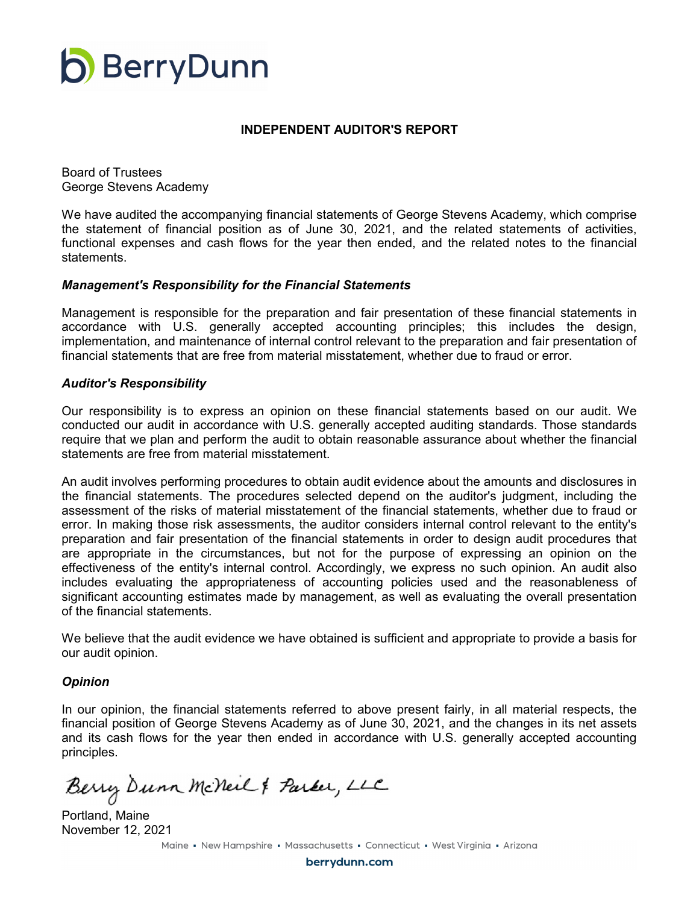

#### **INDEPENDENT AUDITOR'S REPORT**

Board of Trustees George Stevens Academy

We have audited the accompanying financial statements of George Stevens Academy, which comprise the statement of financial position as of June 30, 2021, and the related statements of activities, functional expenses and cash flows for the year then ended, and the related notes to the financial statements.

#### *Management's Responsibility for the Financial Statements*

Management is responsible for the preparation and fair presentation of these financial statements in accordance with U.S. generally accepted accounting principles; this includes the design, implementation, and maintenance of internal control relevant to the preparation and fair presentation of financial statements that are free from material misstatement, whether due to fraud or error.

#### *Auditor's Responsibility*

Our responsibility is to express an opinion on these financial statements based on our audit. We conducted our audit in accordance with U.S. generally accepted auditing standards. Those standards require that we plan and perform the audit to obtain reasonable assurance about whether the financial statements are free from material misstatement.

An audit involves performing procedures to obtain audit evidence about the amounts and disclosures in the financial statements. The procedures selected depend on the auditor's judgment, including the assessment of the risks of material misstatement of the financial statements, whether due to fraud or error. In making those risk assessments, the auditor considers internal control relevant to the entity's preparation and fair presentation of the financial statements in order to design audit procedures that are appropriate in the circumstances, but not for the purpose of expressing an opinion on the effectiveness of the entity's internal control. Accordingly, we express no such opinion. An audit also includes evaluating the appropriateness of accounting policies used and the reasonableness of significant accounting estimates made by management, as well as evaluating the overall presentation of the financial statements.

We believe that the audit evidence we have obtained is sufficient and appropriate to provide a basis for our audit opinion.

# *Opinion*

In our opinion, the financial statements referred to above present fairly, in all material respects, the financial position of George Stevens Academy as of June 30, 2021, and the changes in its net assets and its cash flows for the year then ended in accordance with U.S. generally accepted accounting principles.

Berry Dunn McNeil & Parker, LLC

Portland, Maine November 12, 2021Maine · New Hampshire · Massachusetts · Connecticut · West Virginia · Arizona

berrydunn.com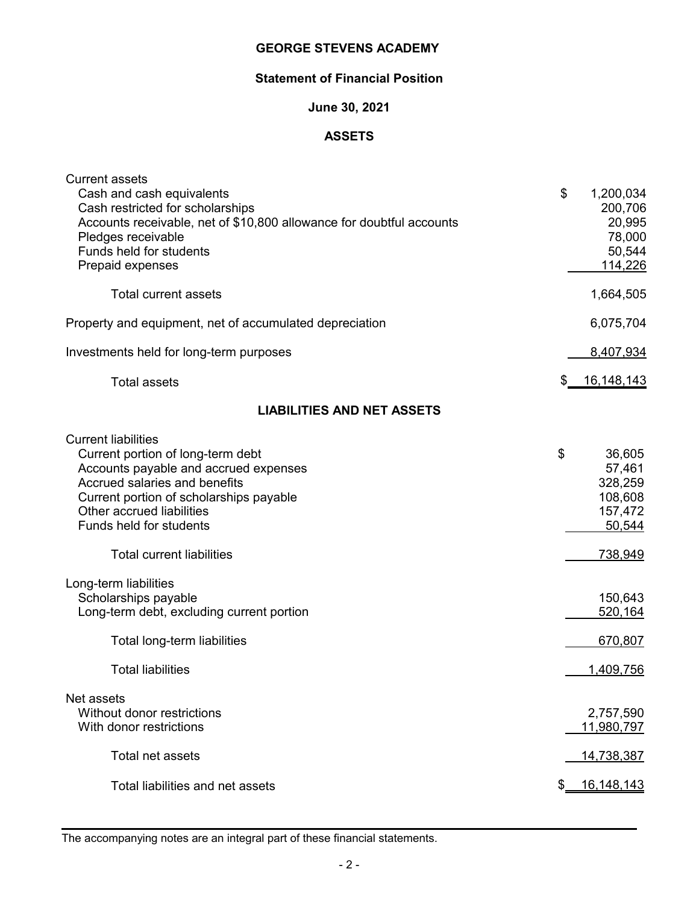# **Statement of Financial Position**

# **June 30, 2021**

# **ASSETS**

| <b>Current assets</b><br>Cash and cash equivalents<br>Cash restricted for scholarships<br>Accounts receivable, net of \$10,800 allowance for doubtful accounts<br>Pledges receivable<br>Funds held for students<br>Prepaid expenses                                              | \$<br>1,200,034<br>200,706<br>20,995<br>78,000<br>50,544<br>114,226          |
|----------------------------------------------------------------------------------------------------------------------------------------------------------------------------------------------------------------------------------------------------------------------------------|------------------------------------------------------------------------------|
| <b>Total current assets</b>                                                                                                                                                                                                                                                      | 1,664,505                                                                    |
| Property and equipment, net of accumulated depreciation                                                                                                                                                                                                                          | 6,075,704                                                                    |
| Investments held for long-term purposes                                                                                                                                                                                                                                          | 8,407,934                                                                    |
| <b>Total assets</b>                                                                                                                                                                                                                                                              | \$<br>16,148,143                                                             |
| <b>LIABILITIES AND NET ASSETS</b>                                                                                                                                                                                                                                                |                                                                              |
| <b>Current liabilities</b><br>Current portion of long-term debt<br>Accounts payable and accrued expenses<br>Accrued salaries and benefits<br>Current portion of scholarships payable<br>Other accrued liabilities<br>Funds held for students<br><b>Total current liabilities</b> | \$<br>36,605<br>57,461<br>328,259<br>108,608<br>157,472<br>50,544<br>738,949 |
| Long-term liabilities<br>Scholarships payable<br>Long-term debt, excluding current portion<br>Total long-term liabilities<br><b>Total liabilities</b>                                                                                                                            | 150,643<br>520,164<br>670,807<br>1,409,756                                   |
| Net assets<br>Without donor restrictions<br>With donor restrictions                                                                                                                                                                                                              | 2,757,590<br><u>11,980,797</u>                                               |
| Total net assets                                                                                                                                                                                                                                                                 | <u>14,738,387</u>                                                            |
| Total liabilities and net assets                                                                                                                                                                                                                                                 | 16,148,143                                                                   |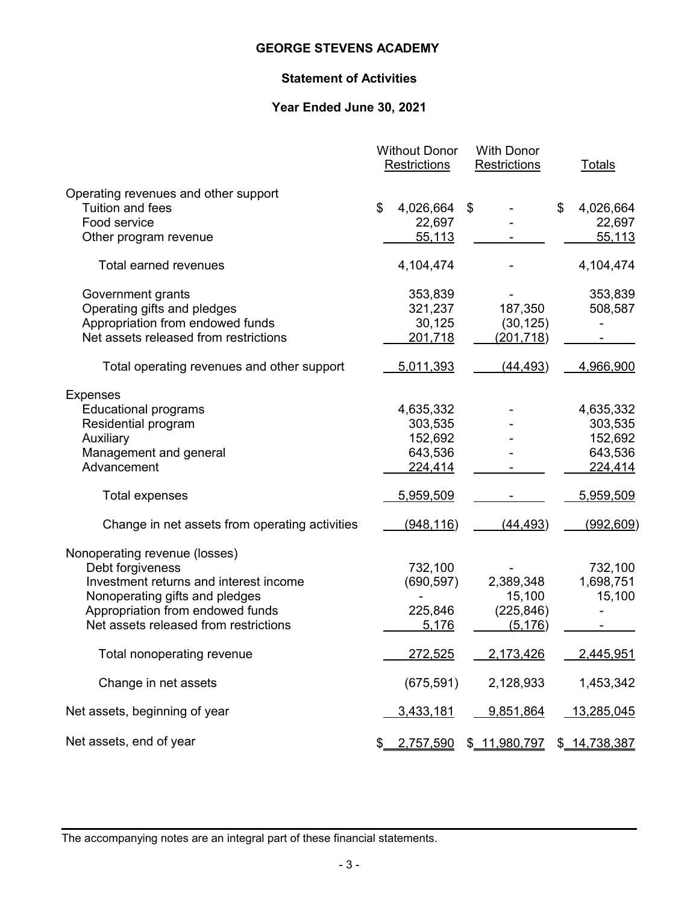# **Statement of Activities**

# **Year Ended June 30, 2021**

|                                                                                                                                                                                                            | <b>Without Donor</b><br><b>Restrictions</b>                 | <b>With Donor</b><br><b>Restrictions</b>        | <b>Totals</b>                                         |
|------------------------------------------------------------------------------------------------------------------------------------------------------------------------------------------------------------|-------------------------------------------------------------|-------------------------------------------------|-------------------------------------------------------|
| Operating revenues and other support<br>Tuition and fees<br>Food service<br>Other program revenue                                                                                                          | \$<br>4,026,664<br>22,697<br>55,113                         | \$                                              | \$<br>4,026,664<br>22,697<br>55,113                   |
| <b>Total earned revenues</b>                                                                                                                                                                               | 4,104,474                                                   |                                                 | 4,104,474                                             |
| Government grants<br>Operating gifts and pledges<br>Appropriation from endowed funds<br>Net assets released from restrictions<br>Total operating revenues and other support                                | 353,839<br>321,237<br>30,125<br>201,718<br><u>5,011,393</u> | 187,350<br>(30, 125)<br>(201, 718)<br>(44, 493) | 353,839<br>508,587<br><u>4,966,900</u>                |
|                                                                                                                                                                                                            |                                                             |                                                 |                                                       |
| <b>Expenses</b><br><b>Educational programs</b><br>Residential program<br>Auxiliary<br>Management and general<br>Advancement                                                                                | 4,635,332<br>303,535<br>152,692<br>643,536<br>224,414       |                                                 | 4,635,332<br>303,535<br>152,692<br>643,536<br>224,414 |
| <b>Total expenses</b>                                                                                                                                                                                      | 5,959,509                                                   |                                                 | 5,959,509                                             |
| Change in net assets from operating activities                                                                                                                                                             | (948, 116)                                                  | (44, 493)                                       | (992, 609)                                            |
| Nonoperating revenue (losses)<br>Debt forgiveness<br>Investment returns and interest income<br>Nonoperating gifts and pledges<br>Appropriation from endowed funds<br>Net assets released from restrictions | 732,100<br>(690, 597)<br>225,846<br>5,176                   | 2,389,348<br>15,100<br>(225, 846)<br>(5, 176)   | 732,100<br>1,698,751<br>15,100                        |
| Total nonoperating revenue                                                                                                                                                                                 | 272,525                                                     | 2,173,426                                       | 2,445,951                                             |
| Change in net assets                                                                                                                                                                                       | (675, 591)                                                  | 2,128,933                                       | 1,453,342                                             |
| Net assets, beginning of year                                                                                                                                                                              | <u>3,433,181</u>                                            | 9,851,864                                       | 13,285,045                                            |
| Net assets, end of year                                                                                                                                                                                    | 2,757,590                                                   | \$ 11,980,797                                   | \$ 14,738,387                                         |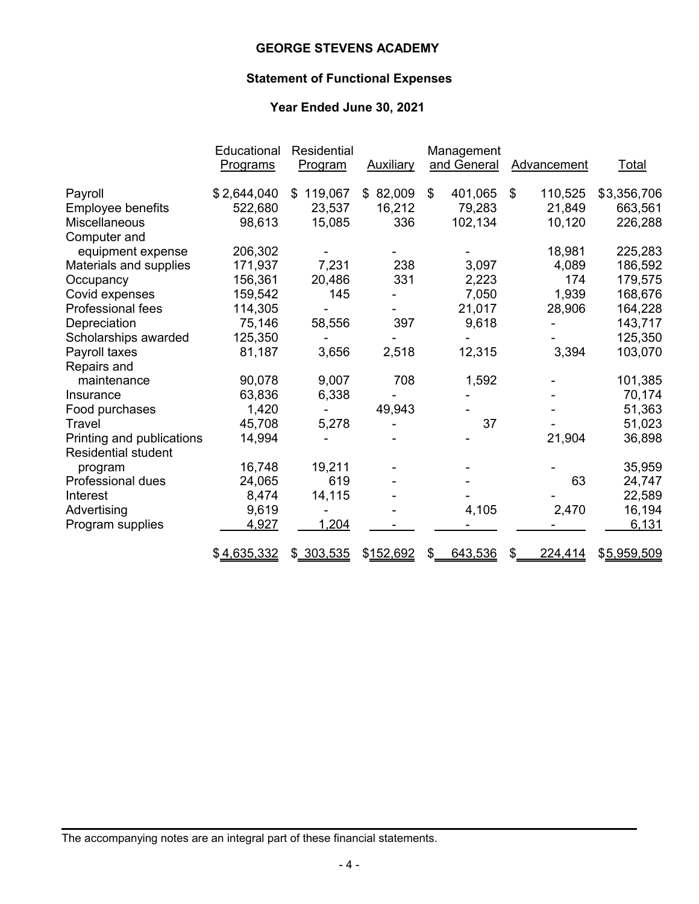# **Statement of Functional Expenses**

# **Year Ended June 30, 2021**

|                            | Educational | Residential   |                  | Management    |                      |              |
|----------------------------|-------------|---------------|------------------|---------------|----------------------|--------------|
|                            | Programs    | Program       | <b>Auxiliary</b> | and General   | <b>Advancement</b>   | <b>Total</b> |
| Payroll                    | \$2,644,040 | 119,067<br>\$ | \$82,009         | \$<br>401,065 | \$<br>110,525        | \$3,356,706  |
| Employee benefits          | 522,680     | 23,537        | 16,212           | 79,283        | 21,849               | 663,561      |
| <b>Miscellaneous</b>       | 98,613      | 15,085        | 336              | 102,134       | 10,120               | 226,288      |
| Computer and               |             |               |                  |               |                      |              |
| equipment expense          | 206,302     |               |                  |               | 18,981               | 225,283      |
| Materials and supplies     | 171,937     | 7,231         | 238              | 3,097         | 4,089                | 186,592      |
| Occupancy                  | 156,361     | 20,486        | 331              | 2,223         | 174                  | 179,575      |
| Covid expenses             | 159,542     | 145           |                  | 7,050         | 1,939                | 168,676      |
| Professional fees          | 114,305     |               |                  | 21,017        | 28,906               | 164,228      |
| Depreciation               | 75,146      | 58,556        | 397              | 9,618         |                      | 143,717      |
| Scholarships awarded       | 125,350     |               |                  |               |                      | 125,350      |
| Payroll taxes              | 81,187      | 3,656         | 2,518            | 12,315        | 3,394                | 103,070      |
| Repairs and                |             |               |                  |               |                      |              |
| maintenance                | 90,078      | 9,007         | 708              | 1,592         |                      | 101,385      |
| Insurance                  | 63,836      | 6,338         |                  |               |                      | 70,174       |
| Food purchases             | 1,420       |               | 49,943           |               |                      | 51,363       |
| Travel                     | 45,708      | 5,278         |                  | 37            |                      | 51,023       |
| Printing and publications  | 14,994      |               |                  |               | 21,904               | 36,898       |
| <b>Residential student</b> |             |               |                  |               |                      |              |
| program                    | 16,748      | 19,211        |                  |               |                      | 35,959       |
| Professional dues          | 24,065      | 619           |                  |               | 63                   | 24,747       |
| Interest                   | 8,474       | 14,115        |                  |               |                      | 22,589       |
| Advertising                | 9,619       |               |                  | 4,105         | 2,470                | 16,194       |
| Program supplies           | 4,927       | 1,204         |                  |               |                      | 6,131        |
|                            | \$4,635,332 | \$ 303,535    | \$152,692        | 643,536       | \$<br><u>224,414</u> | \$5,959,509  |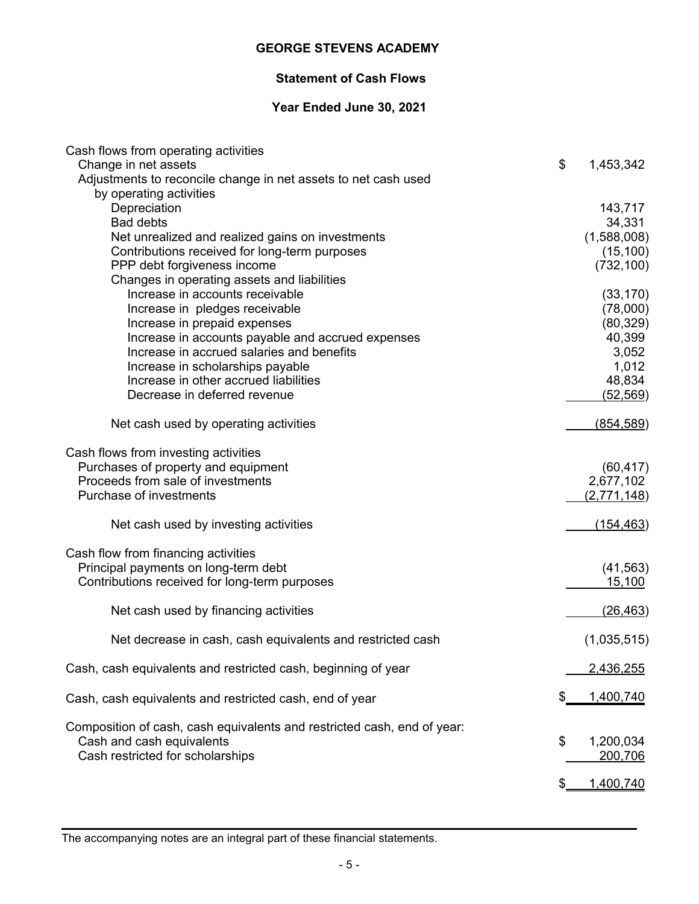# **Statement of Cash Flows**

# **Year Ended June 30, 2021**

| Cash flows from operating activities                                                                 |                  |
|------------------------------------------------------------------------------------------------------|------------------|
| Change in net assets                                                                                 | \$<br>1,453,342  |
| Adjustments to reconcile change in net assets to net cash used                                       |                  |
| by operating activities                                                                              |                  |
| Depreciation                                                                                         | 143,717          |
| <b>Bad debts</b>                                                                                     | 34,331           |
| Net unrealized and realized gains on investments                                                     | (1,588,008)      |
| Contributions received for long-term purposes                                                        | (15, 100)        |
| PPP debt forgiveness income                                                                          | (732, 100)       |
| Changes in operating assets and liabilities                                                          |                  |
| Increase in accounts receivable                                                                      | (33, 170)        |
| Increase in pledges receivable                                                                       | (78,000)         |
| Increase in prepaid expenses                                                                         | (80, 329)        |
| Increase in accounts payable and accrued expenses                                                    | 40,399           |
| Increase in accrued salaries and benefits                                                            | 3,052            |
| Increase in scholarships payable                                                                     | 1,012            |
| Increase in other accrued liabilities<br>Decrease in deferred revenue                                | 48,834           |
|                                                                                                      | (52, 569)        |
| Net cash used by operating activities                                                                | (854, 589)       |
| Cash flows from investing activities                                                                 |                  |
| Purchases of property and equipment                                                                  | (60, 417)        |
| Proceeds from sale of investments                                                                    | 2,677,102        |
| Purchase of investments                                                                              | (2,771,148)      |
| Net cash used by investing activities                                                                | (154, 463)       |
| Cash flow from financing activities                                                                  |                  |
| Principal payments on long-term debt                                                                 | (41, 563)        |
| Contributions received for long-term purposes                                                        | <u>15,100</u>    |
| Net cash used by financing activities                                                                | (26, 463)        |
| Net decrease in cash, cash equivalents and restricted cash                                           | (1,035,515)      |
| Cash, cash equivalents and restricted cash, beginning of year                                        | <u>2,436,255</u> |
| Cash, cash equivalents and restricted cash, end of year                                              | \$<br>1,400,740  |
|                                                                                                      |                  |
| Composition of cash, cash equivalents and restricted cash, end of year:<br>Cash and cash equivalents | \$<br>1,200,034  |
| Cash restricted for scholarships                                                                     | <u>200,706</u>   |
|                                                                                                      |                  |
|                                                                                                      | \$<br>1,400,740  |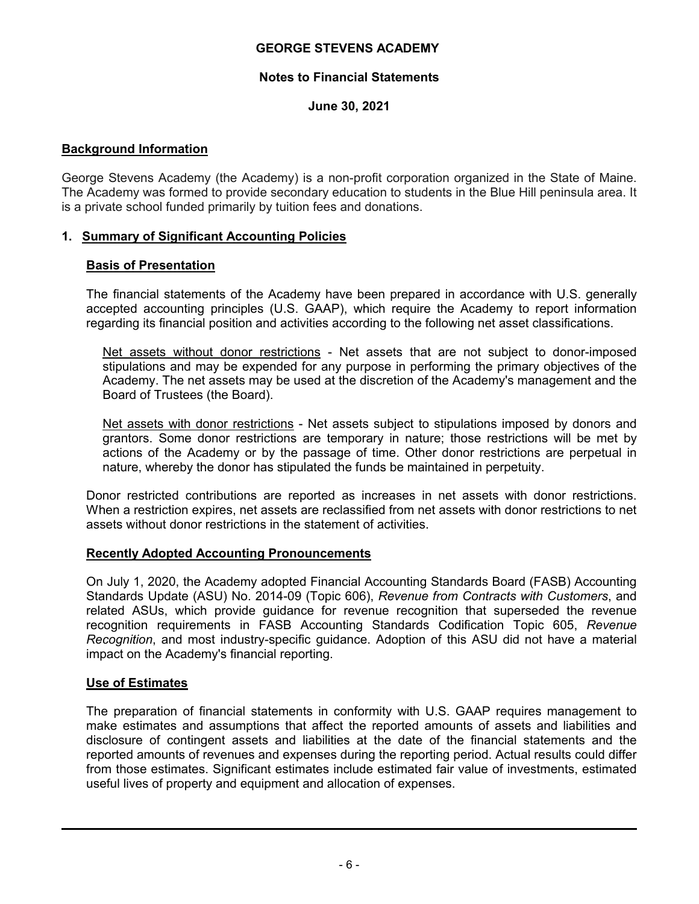# **Notes to Financial Statements**

# **June 30, 2021**

# **Background Information**

George Stevens Academy (the Academy) is a non-profit corporation organized in the State of Maine. The Academy was formed to provide secondary education to students in the Blue Hill peninsula area. It is a private school funded primarily by tuition fees and donations.

# **1. Summary of Significant Accounting Policies**

# **Basis of Presentation**

The financial statements of the Academy have been prepared in accordance with U.S. generally accepted accounting principles (U.S. GAAP), which require the Academy to report information regarding its financial position and activities according to the following net asset classifications.

Net assets without donor restrictions - Net assets that are not subject to donor-imposed stipulations and may be expended for any purpose in performing the primary objectives of the Academy. The net assets may be used at the discretion of the Academy's management and the Board of Trustees (the Board).

Net assets with donor restrictions - Net assets subject to stipulations imposed by donors and grantors. Some donor restrictions are temporary in nature; those restrictions will be met by actions of the Academy or by the passage of time. Other donor restrictions are perpetual in nature, whereby the donor has stipulated the funds be maintained in perpetuity.

Donor restricted contributions are reported as increases in net assets with donor restrictions. When a restriction expires, net assets are reclassified from net assets with donor restrictions to net assets without donor restrictions in the statement of activities.

# **Recently Adopted Accounting Pronouncements**

On July 1, 2020, the Academy adopted Financial Accounting Standards Board (FASB) Accounting Standards Update (ASU) No. 2014-09 (Topic 606), *Revenue from Contracts with Customers*, and related ASUs, which provide guidance for revenue recognition that superseded the revenue recognition requirements in FASB Accounting Standards Codification Topic 605, *Revenue Recognition*, and most industry-specific guidance. Adoption of this ASU did not have a material impact on the Academy's financial reporting.

# **Use of Estimates**

The preparation of financial statements in conformity with U.S. GAAP requires management to make estimates and assumptions that affect the reported amounts of assets and liabilities and disclosure of contingent assets and liabilities at the date of the financial statements and the reported amounts of revenues and expenses during the reporting period. Actual results could differ from those estimates. Significant estimates include estimated fair value of investments, estimated useful lives of property and equipment and allocation of expenses.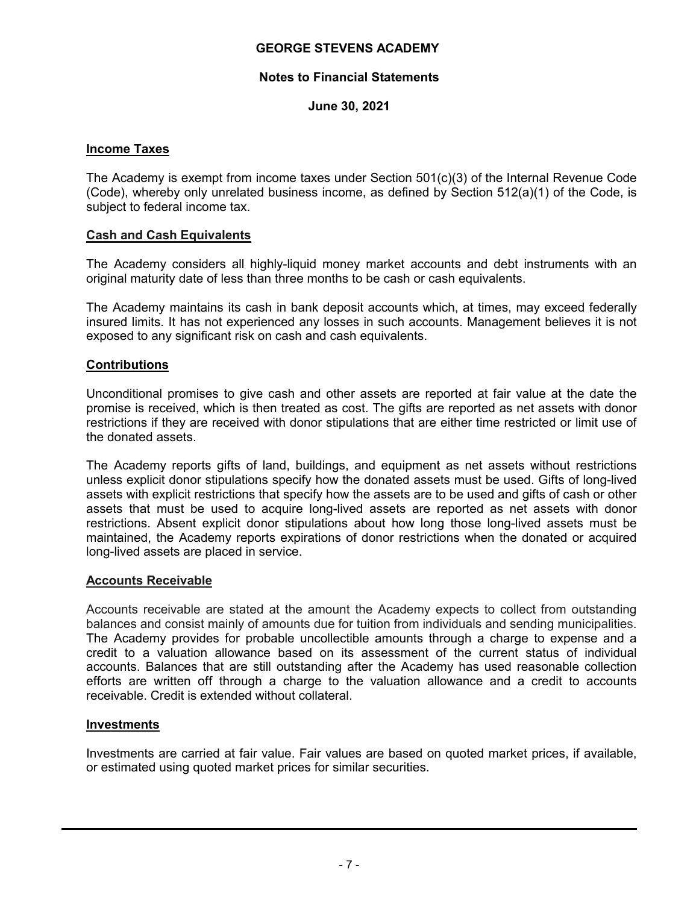#### **Notes to Financial Statements**

# **June 30, 2021**

# **Income Taxes**

The Academy is exempt from income taxes under Section 501(c)(3) of the Internal Revenue Code (Code), whereby only unrelated business income, as defined by Section 512(a)(1) of the Code, is subject to federal income tax.

# **Cash and Cash Equivalents**

The Academy considers all highly-liquid money market accounts and debt instruments with an original maturity date of less than three months to be cash or cash equivalents.

The Academy maintains its cash in bank deposit accounts which, at times, may exceed federally insured limits. It has not experienced any losses in such accounts. Management believes it is not exposed to any significant risk on cash and cash equivalents.

# **Contributions**

Unconditional promises to give cash and other assets are reported at fair value at the date the promise is received, which is then treated as cost. The gifts are reported as net assets with donor restrictions if they are received with donor stipulations that are either time restricted or limit use of the donated assets.

The Academy reports gifts of land, buildings, and equipment as net assets without restrictions unless explicit donor stipulations specify how the donated assets must be used. Gifts of long-lived assets with explicit restrictions that specify how the assets are to be used and gifts of cash or other assets that must be used to acquire long-lived assets are reported as net assets with donor restrictions. Absent explicit donor stipulations about how long those long-lived assets must be maintained, the Academy reports expirations of donor restrictions when the donated or acquired long-lived assets are placed in service.

# **Accounts Receivable**

Accounts receivable are stated at the amount the Academy expects to collect from outstanding balances and consist mainly of amounts due for tuition from individuals and sending municipalities. The Academy provides for probable uncollectible amounts through a charge to expense and a credit to a valuation allowance based on its assessment of the current status of individual accounts. Balances that are still outstanding after the Academy has used reasonable collection efforts are written off through a charge to the valuation allowance and a credit to accounts receivable. Credit is extended without collateral.

#### **Investments**

Investments are carried at fair value. Fair values are based on quoted market prices, if available, or estimated using quoted market prices for similar securities.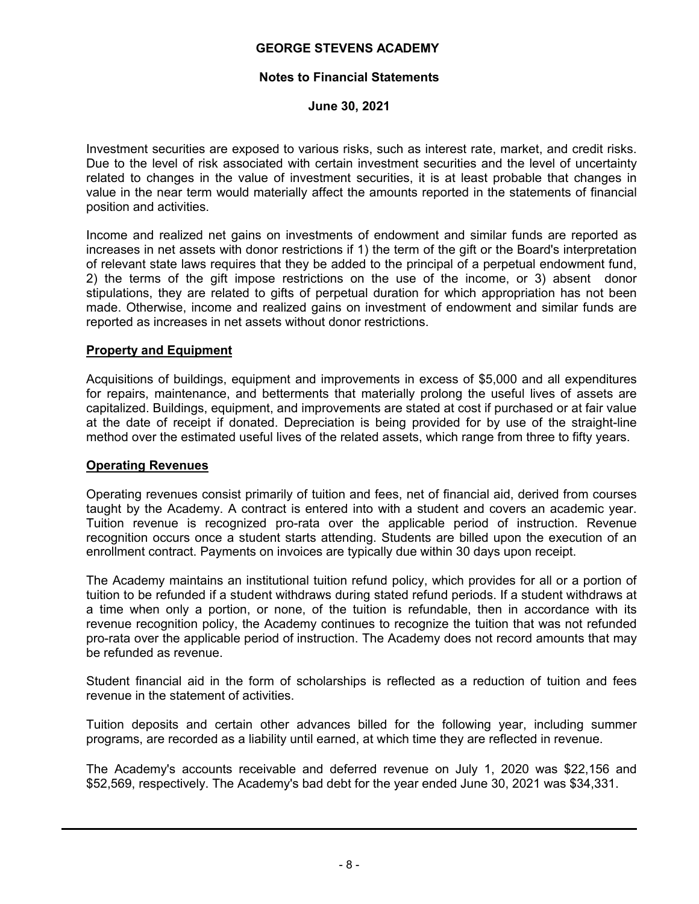#### **Notes to Financial Statements**

**June 30, 2021**

Investment securities are exposed to various risks, such as interest rate, market, and credit risks. Due to the level of risk associated with certain investment securities and the level of uncertainty related to changes in the value of investment securities, it is at least probable that changes in value in the near term would materially affect the amounts reported in the statements of financial position and activities.

Income and realized net gains on investments of endowment and similar funds are reported as increases in net assets with donor restrictions if 1) the term of the gift or the Board's interpretation of relevant state laws requires that they be added to the principal of a perpetual endowment fund, 2) the terms of the gift impose restrictions on the use of the income, or 3) absent donor stipulations, they are related to gifts of perpetual duration for which appropriation has not been made. Otherwise, income and realized gains on investment of endowment and similar funds are reported as increases in net assets without donor restrictions.

# **Property and Equipment**

Acquisitions of buildings, equipment and improvements in excess of \$5,000 and all expenditures for repairs, maintenance, and betterments that materially prolong the useful lives of assets are capitalized. Buildings, equipment, and improvements are stated at cost if purchased or at fair value at the date of receipt if donated. Depreciation is being provided for by use of the straight-line method over the estimated useful lives of the related assets, which range from three to fifty years.

# **Operating Revenues**

Operating revenues consist primarily of tuition and fees, net of financial aid, derived from courses taught by the Academy. A contract is entered into with a student and covers an academic year. Tuition revenue is recognized pro-rata over the applicable period of instruction. Revenue recognition occurs once a student starts attending. Students are billed upon the execution of an enrollment contract. Payments on invoices are typically due within 30 days upon receipt.

The Academy maintains an institutional tuition refund policy, which provides for all or a portion of tuition to be refunded if a student withdraws during stated refund periods. If a student withdraws at a time when only a portion, or none, of the tuition is refundable, then in accordance with its revenue recognition policy, the Academy continues to recognize the tuition that was not refunded pro-rata over the applicable period of instruction. The Academy does not record amounts that may be refunded as revenue.

Student financial aid in the form of scholarships is reflected as a reduction of tuition and fees revenue in the statement of activities.

Tuition deposits and certain other advances billed for the following year, including summer programs, are recorded as a liability until earned, at which time they are reflected in revenue.

The Academy's accounts receivable and deferred revenue on July 1, 2020 was \$22,156 and \$52,569, respectively. The Academy's bad debt for the year ended June 30, 2021 was \$34,331.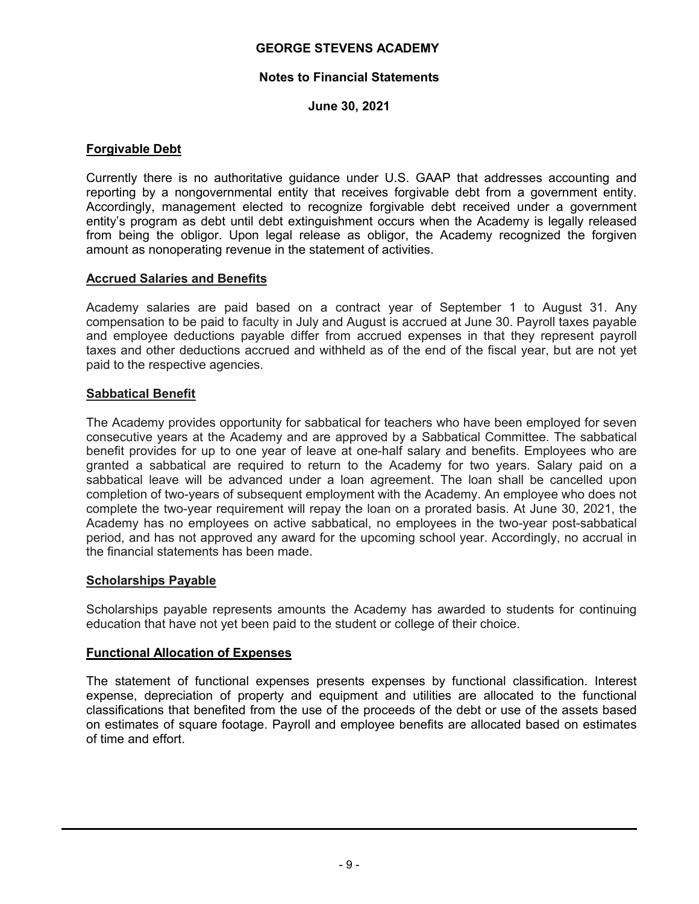#### **Notes to Financial Statements**

**June 30, 2021**

# **Forgivable Debt**

Currently there is no authoritative guidance under U.S. GAAP that addresses accounting and reporting by a nongovernmental entity that receives forgivable debt from a government entity. Accordingly, management elected to recognize forgivable debt received under a government entity's program as debt until debt extinguishment occurs when the Academy is legally released from being the obligor. Upon legal release as obligor, the Academy recognized the forgiven amount as nonoperating revenue in the statement of activities.

#### **Accrued Salaries and Benefits**

Academy salaries are paid based on a contract year of September 1 to August 31. Any compensation to be paid to faculty in July and August is accrued at June 30. Payroll taxes payable and employee deductions payable differ from accrued expenses in that they represent payroll taxes and other deductions accrued and withheld as of the end of the fiscal year, but are not yet paid to the respective agencies.

#### **Sabbatical Benefit**

The Academy provides opportunity for sabbatical for teachers who have been employed for seven consecutive years at the Academy and are approved by a Sabbatical Committee. The sabbatical benefit provides for up to one year of leave at one-half salary and benefits. Employees who are granted a sabbatical are required to return to the Academy for two years. Salary paid on a sabbatical leave will be advanced under a loan agreement. The loan shall be cancelled upon completion of two-years of subsequent employment with the Academy. An employee who does not complete the two-year requirement will repay the loan on a prorated basis. At June 30, 2021, the Academy has no employees on active sabbatical, no employees in the two-year post-sabbatical period, and has not approved any award for the upcoming school year. Accordingly, no accrual in the financial statements has been made.

#### **Scholarships Payable**

Scholarships payable represents amounts the Academy has awarded to students for continuing education that have not yet been paid to the student or college of their choice.

#### **Functional Allocation of Expenses**

The statement of functional expenses presents expenses by functional classification. Interest expense, depreciation of property and equipment and utilities are allocated to the functional classifications that benefited from the use of the proceeds of the debt or use of the assets based on estimates of square footage. Payroll and employee benefits are allocated based on estimates of time and effort.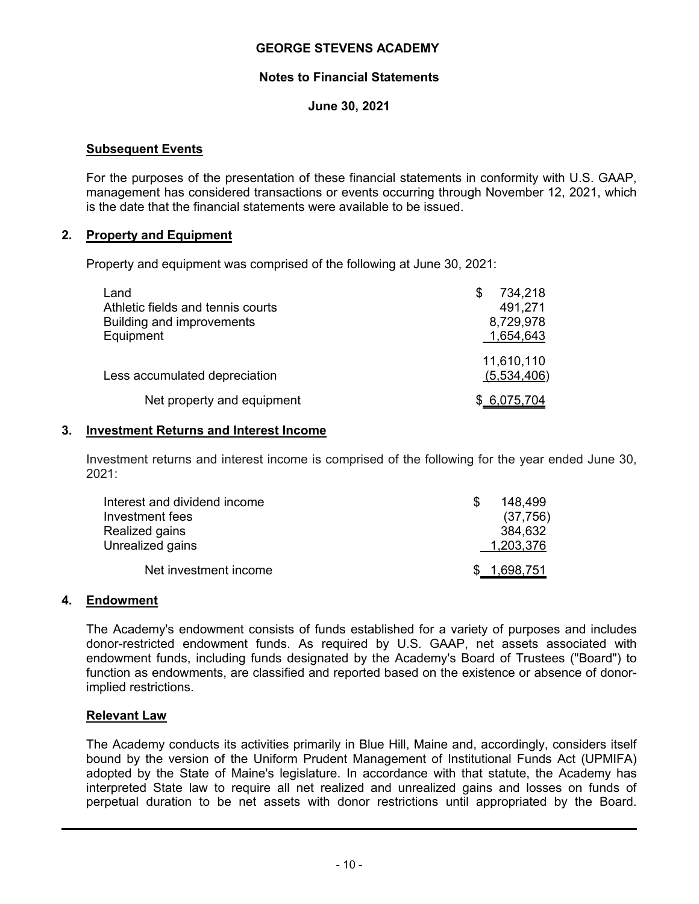#### **Notes to Financial Statements**

#### **June 30, 2021**

#### **Subsequent Events**

For the purposes of the presentation of these financial statements in conformity with U.S. GAAP, management has considered transactions or events occurring through November 12, 2021, which is the date that the financial statements were available to be issued.

# **2. Property and Equipment**

Property and equipment was comprised of the following at June 30, 2021:

| Land                              | 734,218                   |
|-----------------------------------|---------------------------|
| Athletic fields and tennis courts | 491,271                   |
| <b>Building and improvements</b>  | 8,729,978                 |
| Equipment                         | 1,654,643                 |
| Less accumulated depreciation     | 11,610,110<br>(5,534,406) |
| Net property and equipment        | \$6,075,704               |

#### **3. Investment Returns and Interest Income**

Investment returns and interest income is comprised of the following for the year ended June 30,  $2021$ 

| Interest and dividend income | 148.499     |
|------------------------------|-------------|
| Investment fees              | (37,756)    |
| Realized gains               | 384,632     |
| Unrealized gains             | 1,203,376   |
| Net investment income        | \$1,698,751 |

# **4. Endowment**

The Academy's endowment consists of funds established for a variety of purposes and includes donor-restricted endowment funds. As required by U.S. GAAP, net assets associated with endowment funds, including funds designated by the Academy's Board of Trustees ("Board") to function as endowments, are classified and reported based on the existence or absence of donorimplied restrictions.

#### **Relevant Law**

The Academy conducts its activities primarily in Blue Hill, Maine and, accordingly, considers itself bound by the version of the Uniform Prudent Management of Institutional Funds Act (UPMIFA) adopted by the State of Maine's legislature. In accordance with that statute, the Academy has interpreted State law to require all net realized and unrealized gains and losses on funds of perpetual duration to be net assets with donor restrictions until appropriated by the Board.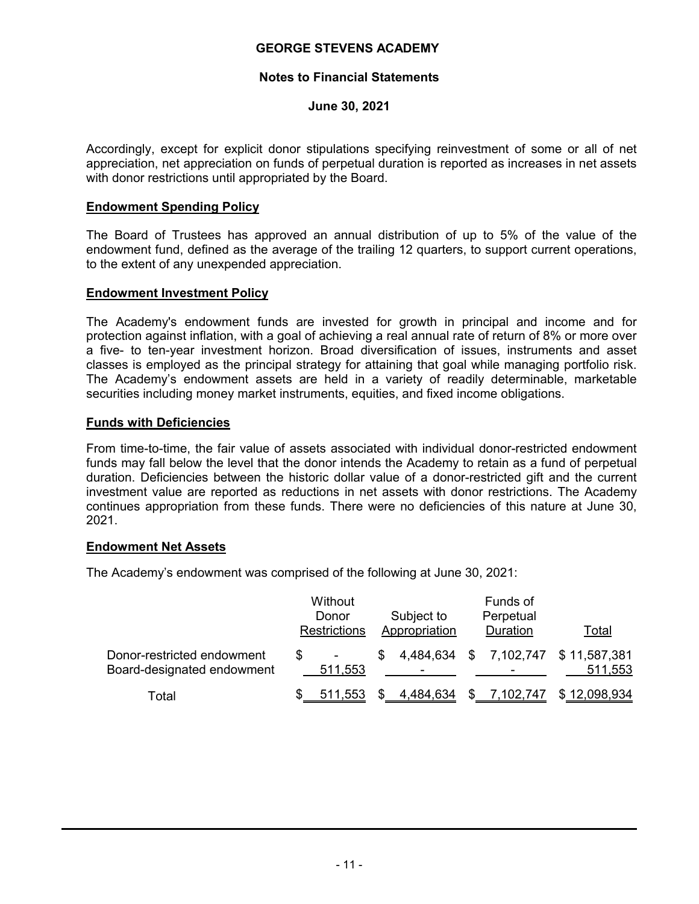# **Notes to Financial Statements**

#### **June 30, 2021**

Accordingly, except for explicit donor stipulations specifying reinvestment of some or all of net appreciation, net appreciation on funds of perpetual duration is reported as increases in net assets with donor restrictions until appropriated by the Board.

#### **Endowment Spending Policy**

The Board of Trustees has approved an annual distribution of up to 5% of the value of the endowment fund, defined as the average of the trailing 12 quarters, to support current operations, to the extent of any unexpended appreciation.

#### **Endowment Investment Policy**

The Academy's endowment funds are invested for growth in principal and income and for protection against inflation, with a goal of achieving a real annual rate of return of 8% or more over a five- to ten-year investment horizon. Broad diversification of issues, instruments and asset classes is employed as the principal strategy for attaining that goal while managing portfolio risk. The Academy's endowment assets are held in a variety of readily determinable, marketable securities including money market instruments, equities, and fixed income obligations.

#### **Funds with Deficiencies**

From time-to-time, the fair value of assets associated with individual donor-restricted endowment funds may fall below the level that the donor intends the Academy to retain as a fund of perpetual duration. Deficiencies between the historic dollar value of a donor-restricted gift and the current investment value are reported as reductions in net assets with donor restrictions. The Academy continues appropriation from these funds. There were no deficiencies of this nature at June 30, 2021.

# **Endowment Net Assets**

The Academy's endowment was comprised of the following at June 30, 2021:

|                                                          | Without<br>Donor<br>Restrictions | Subject to<br>Appropriation | Funds of<br>Perpetual<br>Duration                               | Total        |
|----------------------------------------------------------|----------------------------------|-----------------------------|-----------------------------------------------------------------|--------------|
| Donor-restricted endowment<br>Board-designated endowment | $\blacksquare$<br>511,553        | \$.                         | 4,484,634 \$ 7,102,747 \$11,587,381<br>$\overline{\phantom{a}}$ | 511,553      |
| Total                                                    | 511,553                          | 4,484,634                   | \$ 7,102,747                                                    | \$12,098,934 |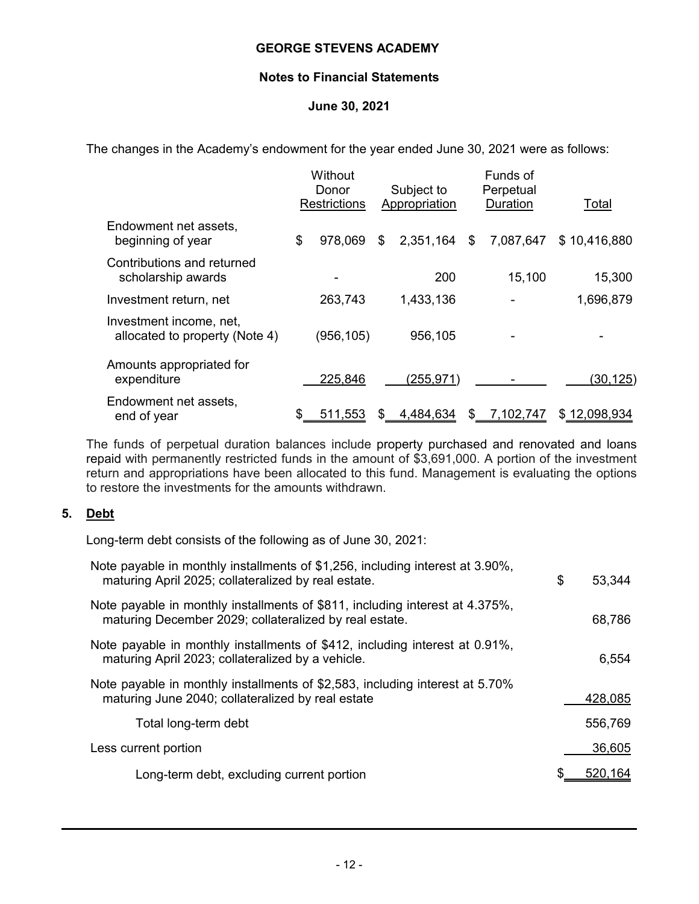#### **Notes to Financial Statements**

#### **June 30, 2021**

The changes in the Academy's endowment for the year ended June 30, 2021 were as follows:

|                                                           |    | Without<br>Donor<br><b>Restrictions</b> | Subject to<br>Appropriation |     | Funds of<br>Perpetual<br>Duration | Total        |
|-----------------------------------------------------------|----|-----------------------------------------|-----------------------------|-----|-----------------------------------|--------------|
| Endowment net assets,<br>beginning of year                | \$ | 978,069                                 | \$<br>2,351,164             | \$  | 7,087,647                         | \$10,416,880 |
| Contributions and returned<br>scholarship awards          |    |                                         | 200                         |     | 15,100                            | 15,300       |
| Investment return, net                                    |    | 263,743                                 | 1,433,136                   |     |                                   | 1,696,879    |
| Investment income, net,<br>allocated to property (Note 4) |    | (956, 105)                              | 956,105                     |     |                                   |              |
| Amounts appropriated for<br>expenditure                   |    | 225,846                                 | (255, 971)                  |     |                                   | (30, 125)    |
| Endowment net assets,<br>end of year                      | S  | 511,553                                 | \$<br>4,484,634             | \$. | 7,102,747                         | \$12,098,934 |

The funds of perpetual duration balances include property purchased and renovated and loans repaid with permanently restricted funds in the amount of \$3,691,000. A portion of the investment return and appropriations have been allocated to this fund. Management is evaluating the options to restore the investments for the amounts withdrawn.

# **5. Debt**

Long-term debt consists of the following as of June 30, 2021:

| Note payable in monthly installments of \$1,256, including interest at 3.90%,<br>maturing April 2025; collateralized by real estate.   | \$<br>53,344 |
|----------------------------------------------------------------------------------------------------------------------------------------|--------------|
| Note payable in monthly installments of \$811, including interest at 4.375%,<br>maturing December 2029; collateralized by real estate. | 68,786       |
| Note payable in monthly installments of \$412, including interest at 0.91%,<br>maturing April 2023; collateralized by a vehicle.       | 6,554        |
| Note payable in monthly installments of \$2,583, including interest at 5.70%<br>maturing June 2040; collateralized by real estate      | 428,085      |
| Total long-term debt                                                                                                                   | 556,769      |
| Less current portion                                                                                                                   | 36,605       |
| Long-term debt, excluding current portion                                                                                              | 520.164      |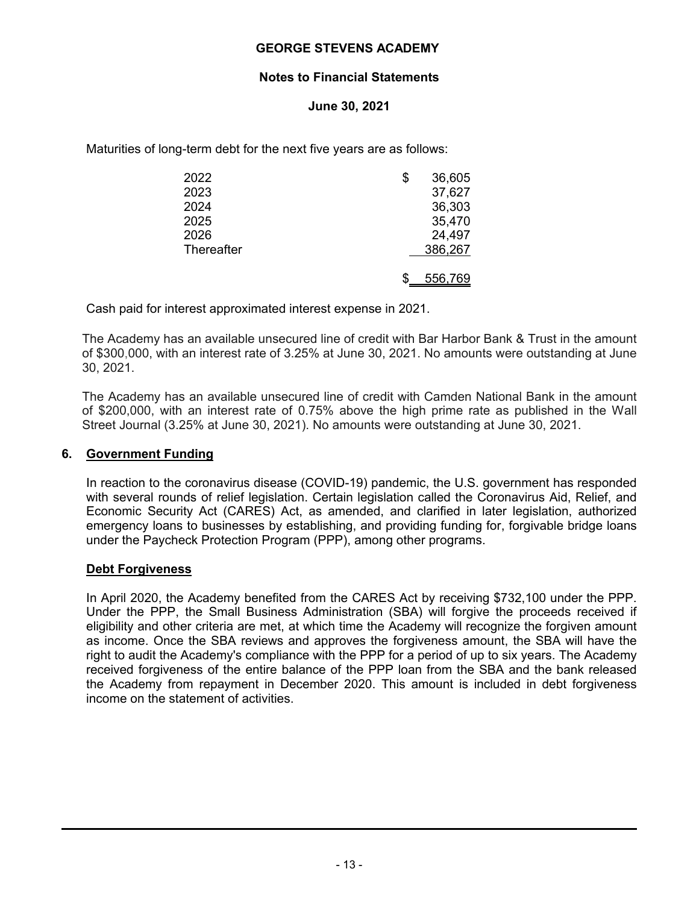# **Notes to Financial Statements**

# **June 30, 2021**

Maturities of long-term debt for the next five years are as follows:

| 2022       | \$<br>36,605 |
|------------|--------------|
| 2023       | 37,627       |
| 2024       | 36,303       |
| 2025       | 35,470       |
| 2026       | 24,497       |
| Thereafter | 386,267      |
|            | 556,769      |

Cash paid for interest approximated interest expense in 2021.

The Academy has an available unsecured line of credit with Bar Harbor Bank & Trust in the amount of \$300,000, with an interest rate of 3.25% at June 30, 2021. No amounts were outstanding at June 30, 2021.

The Academy has an available unsecured line of credit with Camden National Bank in the amount of \$200,000, with an interest rate of 0.75% above the high prime rate as published in the Wall Street Journal (3.25% at June 30, 2021). No amounts were outstanding at June 30, 2021.

# **6. Government Funding**

In reaction to the coronavirus disease (COVID-19) pandemic, the U.S. government has responded with several rounds of relief legislation. Certain legislation called the Coronavirus Aid, Relief, and Economic Security Act (CARES) Act, as amended, and clarified in later legislation, authorized emergency loans to businesses by establishing, and providing funding for, forgivable bridge loans under the Paycheck Protection Program (PPP), among other programs.

# **Debt Forgiveness**

In April 2020, the Academy benefited from the CARES Act by receiving \$732,100 under the PPP. Under the PPP, the Small Business Administration (SBA) will forgive the proceeds received if eligibility and other criteria are met, at which time the Academy will recognize the forgiven amount as income. Once the SBA reviews and approves the forgiveness amount, the SBA will have the right to audit the Academy's compliance with the PPP for a period of up to six years. The Academy received forgiveness of the entire balance of the PPP loan from the SBA and the bank released the Academy from repayment in December 2020. This amount is included in debt forgiveness income on the statement of activities.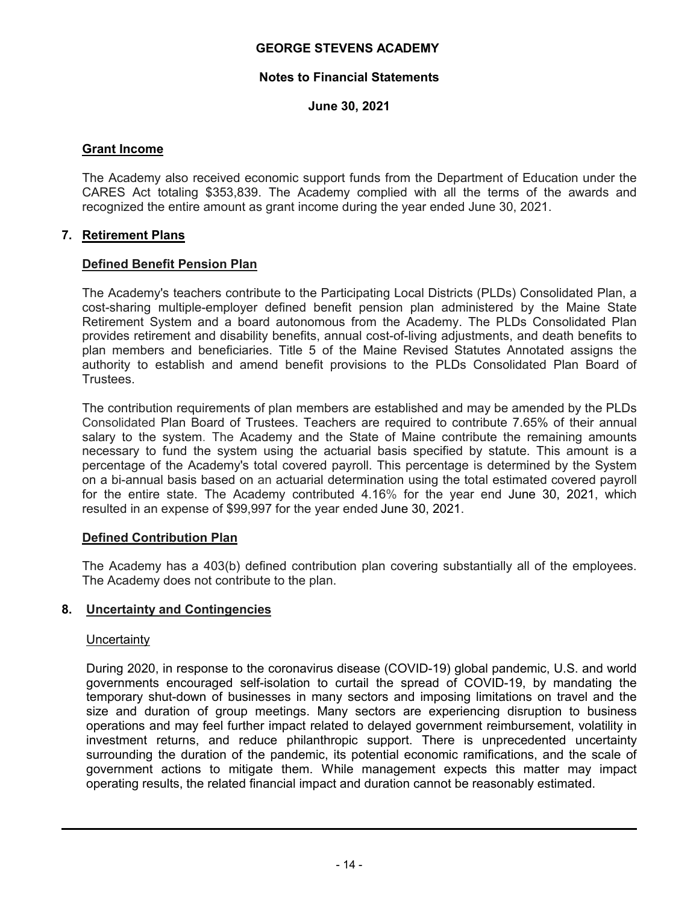#### **Notes to Financial Statements**

**June 30, 2021**

#### **Grant Income**

The Academy also received economic support funds from the Department of Education under the CARES Act totaling \$353,839. The Academy complied with all the terms of the awards and recognized the entire amount as grant income during the year ended June 30, 2021.

#### **7. Retirement Plans**

#### **Defined Benefit Pension Plan**

The Academy's teachers contribute to the Participating Local Districts (PLDs) Consolidated Plan, a cost-sharing multiple-employer defined benefit pension plan administered by the Maine State Retirement System and a board autonomous from the Academy. The PLDs Consolidated Plan provides retirement and disability benefits, annual cost-of-living adjustments, and death benefits to plan members and beneficiaries. Title 5 of the Maine Revised Statutes Annotated assigns the authority to establish and amend benefit provisions to the PLDs Consolidated Plan Board of Trustees.

The contribution requirements of plan members are established and may be amended by the PLDs Consolidated Plan Board of Trustees. Teachers are required to contribute 7.65% of their annual salary to the system. The Academy and the State of Maine contribute the remaining amounts necessary to fund the system using the actuarial basis specified by statute. This amount is a percentage of the Academy's total covered payroll. This percentage is determined by the System on a bi-annual basis based on an actuarial determination using the total estimated covered payroll for the entire state. The Academy contributed 4.16% for the year end June 30, 2021, which resulted in an expense of \$99,997 for the year ended June 30, 2021.

#### **Defined Contribution Plan**

The Academy has a 403(b) defined contribution plan covering substantially all of the employees. The Academy does not contribute to the plan.

#### **8. Uncertainty and Contingencies**

#### **Uncertainty**

During 2020, in response to the coronavirus disease (COVID-19) global pandemic, U.S. and world governments encouraged self-isolation to curtail the spread of COVID-19, by mandating the temporary shut-down of businesses in many sectors and imposing limitations on travel and the size and duration of group meetings. Many sectors are experiencing disruption to business operations and may feel further impact related to delayed government reimbursement, volatility in investment returns, and reduce philanthropic support. There is unprecedented uncertainty surrounding the duration of the pandemic, its potential economic ramifications, and the scale of government actions to mitigate them. While management expects this matter may impact operating results, the related financial impact and duration cannot be reasonably estimated.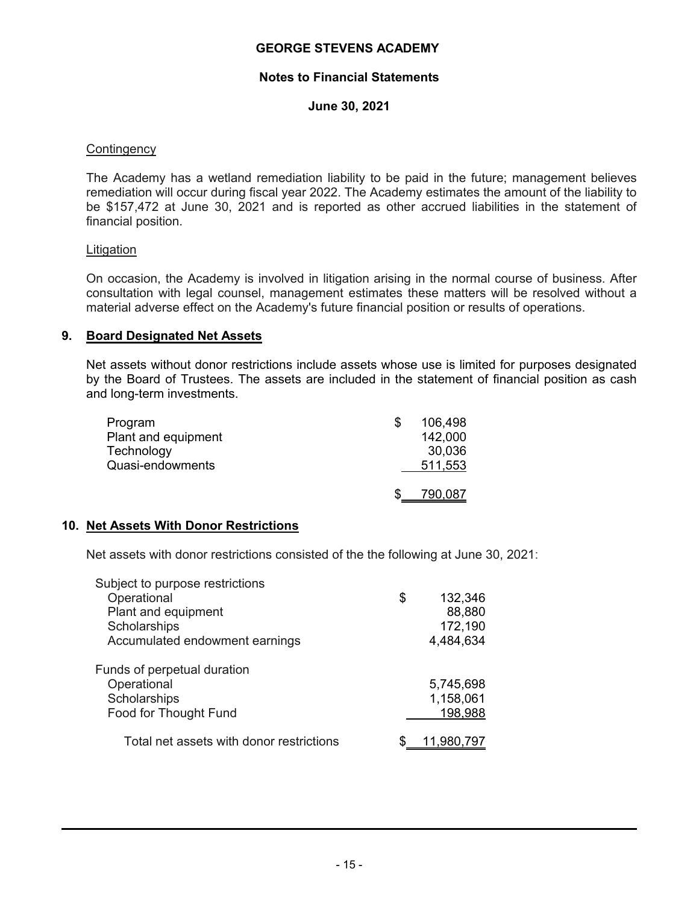#### **Notes to Financial Statements**

#### **June 30, 2021**

#### **Contingency**

The Academy has a wetland remediation liability to be paid in the future; management believes remediation will occur during fiscal year 2022. The Academy estimates the amount of the liability to be \$157,472 at June 30, 2021 and is reported as other accrued liabilities in the statement of financial position.

#### **Litigation**

On occasion, the Academy is involved in litigation arising in the normal course of business. After consultation with legal counsel, management estimates these matters will be resolved without a material adverse effect on the Academy's future financial position or results of operations.

#### **9. Board Designated Net Assets**

Net assets without donor restrictions include assets whose use is limited for purposes designated by the Board of Trustees. The assets are included in the statement of financial position as cash and long-term investments.

| Program             | 106,498 |
|---------------------|---------|
| Plant and equipment | 142,000 |
| Technology          | 30,036  |
| Quasi-endowments    | 511,553 |
|                     | 790,087 |

# **10. Net Assets With Donor Restrictions**

Net assets with donor restrictions consisted of the the following at June 30, 2021:

| Subject to purpose restrictions          |               |
|------------------------------------------|---------------|
| Operational                              | \$<br>132,346 |
| Plant and equipment                      | 88,880        |
| Scholarships                             | 172,190       |
| Accumulated endowment earnings           | 4,484,634     |
| Funds of perpetual duration              |               |
| Operational                              | 5,745,698     |
| Scholarships                             | 1,158,061     |
| Food for Thought Fund                    | 198,988       |
| Total net assets with donor restrictions | 11,980,797    |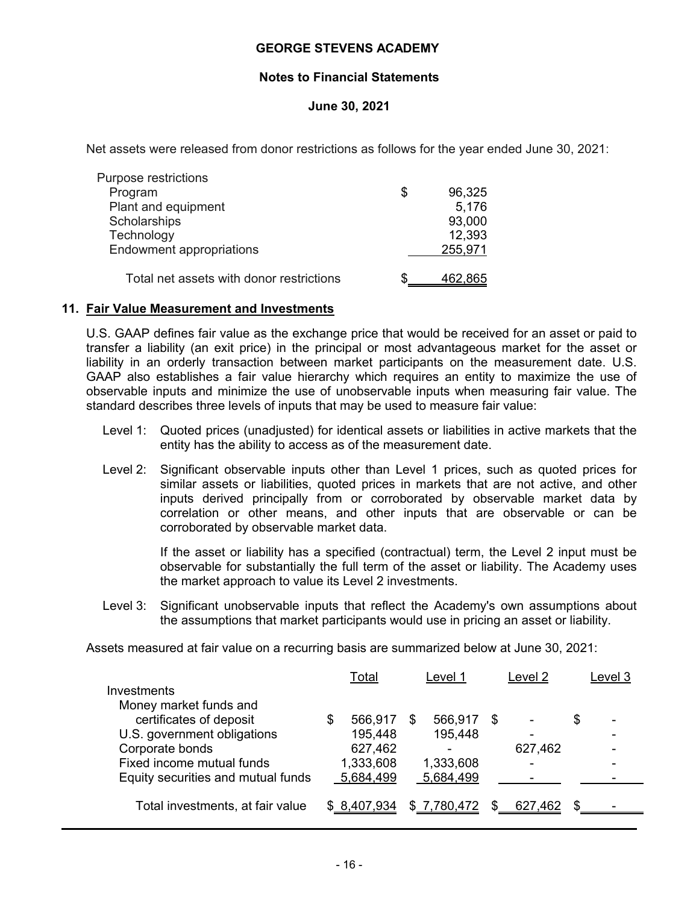#### **Notes to Financial Statements**

#### **June 30, 2021**

Net assets were released from donor restrictions as follows for the year ended June 30, 2021:

| <b>Purpose restrictions</b>              |              |
|------------------------------------------|--------------|
| Program                                  | \$<br>96,325 |
| Plant and equipment                      | 5,176        |
| Scholarships                             | 93,000       |
| Technology                               | 12,393       |
| Endowment appropriations                 | 255,971      |
| Total net assets with donor restrictions | 462,865      |

#### **11. Fair Value Measurement and Investments**

U.S. GAAP defines fair value as the exchange price that would be received for an asset or paid to transfer a liability (an exit price) in the principal or most advantageous market for the asset or liability in an orderly transaction between market participants on the measurement date. U.S. GAAP also establishes a fair value hierarchy which requires an entity to maximize the use of observable inputs and minimize the use of unobservable inputs when measuring fair value. The standard describes three levels of inputs that may be used to measure fair value:

- Level 1: Quoted prices (unadjusted) for identical assets or liabilities in active markets that the entity has the ability to access as of the measurement date.
- Level 2: Significant observable inputs other than Level 1 prices, such as quoted prices for similar assets or liabilities, quoted prices in markets that are not active, and other inputs derived principally from or corroborated by observable market data by correlation or other means, and other inputs that are observable or can be corroborated by observable market data.

If the asset or liability has a specified (contractual) term, the Level 2 input must be observable for substantially the full term of the asset or liability. The Academy uses the market approach to value its Level 2 investments.

Level 3: Significant unobservable inputs that reflect the Academy's own assumptions about the assumptions that market participants would use in pricing an asset or liability.

Assets measured at fair value on a recurring basis are summarized below at June 30, 2021:

|                                    | Total         | Level 1     |     | Level 2 |     | Level 3 |
|------------------------------------|---------------|-------------|-----|---------|-----|---------|
| Investments                        |               |             |     |         |     |         |
| Money market funds and             |               |             |     |         |     |         |
| certificates of deposit            | \$<br>566,917 | 566,917     | -S  |         | \$  |         |
| U.S. government obligations        | 195,448       | 195,448     |     |         |     |         |
| Corporate bonds                    | 627,462       |             |     | 627,462 |     |         |
| Fixed income mutual funds          | 1,333,608     | 1,333,608   |     |         |     |         |
| Equity securities and mutual funds | 5,684,499     | 5,684,499   |     |         |     |         |
|                                    |               |             |     |         |     |         |
| Total investments, at fair value   | \$8,407,934   | \$7,780,472 | \$. | 627,462 | \$. |         |
|                                    |               |             |     |         |     |         |